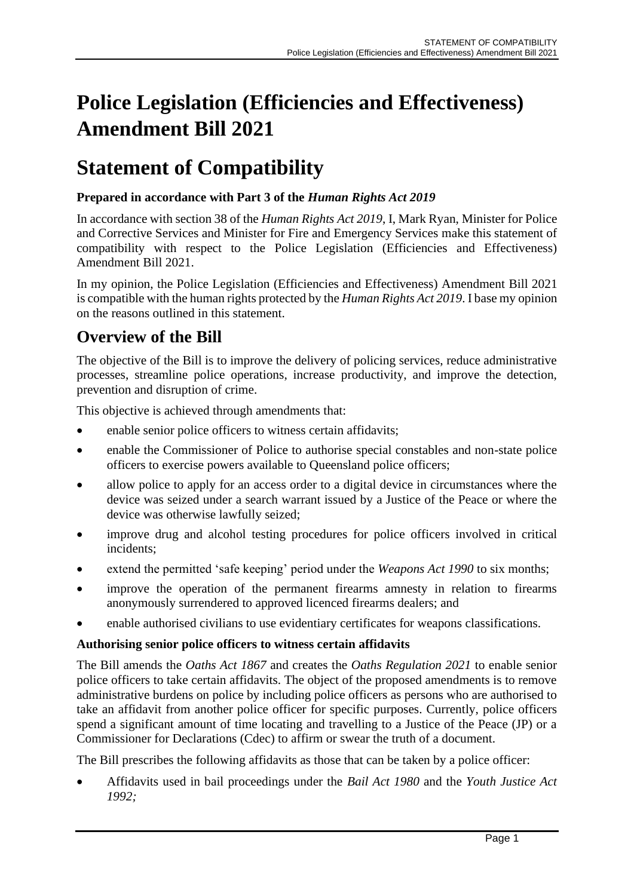# **Police Legislation (Efficiencies and Effectiveness) Amendment Bill 2021**

# **Statement of Compatibility**

# **Prepared in accordance with Part 3 of the** *Human Rights Act 2019*

In accordance with section 38 of the *Human Rights Act 2019*, I, Mark Ryan, Minister for Police and Corrective Services and Minister for Fire and Emergency Services make this statement of compatibility with respect to the Police Legislation (Efficiencies and Effectiveness) Amendment Bill 2021.

In my opinion, the Police Legislation (Efficiencies and Effectiveness) Amendment Bill 2021 is compatible with the human rights protected by the *Human Rights Act 2019*. I base my opinion on the reasons outlined in this statement.

# **Overview of the Bill**

The objective of the Bill is to improve the delivery of policing services, reduce administrative processes, streamline police operations, increase productivity, and improve the detection, prevention and disruption of crime.

This objective is achieved through amendments that:

- enable senior police officers to witness certain affidavits;
- enable the Commissioner of Police to authorise special constables and non-state police officers to exercise powers available to Queensland police officers;
- allow police to apply for an access order to a digital device in circumstances where the device was seized under a search warrant issued by a Justice of the Peace or where the device was otherwise lawfully seized;
- improve drug and alcohol testing procedures for police officers involved in critical incidents;
- extend the permitted 'safe keeping' period under the *Weapons Act 1990* to six months;
- improve the operation of the permanent firearms amnesty in relation to firearms anonymously surrendered to approved licenced firearms dealers; and
- enable authorised civilians to use evidentiary certificates for weapons classifications.

# **Authorising senior police officers to witness certain affidavits**

The Bill amends the *Oaths Act 1867* and creates the *Oaths Regulation 2021* to enable senior police officers to take certain affidavits. The object of the proposed amendments is to remove administrative burdens on police by including police officers as persons who are authorised to take an affidavit from another police officer for specific purposes. Currently, police officers spend a significant amount of time locating and travelling to a Justice of the Peace (JP) or a Commissioner for Declarations (Cdec) to affirm or swear the truth of a document.

The Bill prescribes the following affidavits as those that can be taken by a police officer:

• Affidavits used in bail proceedings under the *Bail Act 1980* and the *Youth Justice Act 1992;*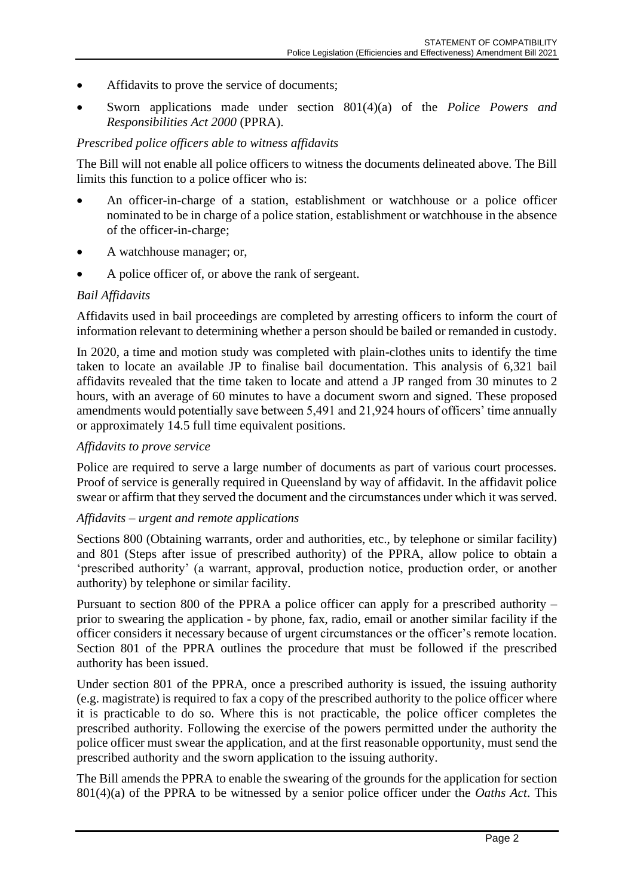- Affidavits to prove the service of documents;
- Sworn applications made under section 801(4)(a) of the *Police Powers and Responsibilities Act 2000* (PPRA).

#### *Prescribed police officers able to witness affidavits*

The Bill will not enable all police officers to witness the documents delineated above. The Bill limits this function to a police officer who is:

- An officer-in-charge of a station, establishment or watchhouse or a police officer nominated to be in charge of a police station, establishment or watchhouse in the absence of the officer-in-charge;
- A watchhouse manager; or,
- A police officer of, or above the rank of sergeant.

#### *Bail Affidavits*

Affidavits used in bail proceedings are completed by arresting officers to inform the court of information relevant to determining whether a person should be bailed or remanded in custody.

In 2020, a time and motion study was completed with plain-clothes units to identify the time taken to locate an available JP to finalise bail documentation. This analysis of 6,321 bail affidavits revealed that the time taken to locate and attend a JP ranged from 30 minutes to 2 hours, with an average of 60 minutes to have a document sworn and signed. These proposed amendments would potentially save between 5,491 and 21,924 hours of officers' time annually or approximately 14.5 full time equivalent positions.

#### *Affidavits to prove service*

Police are required to serve a large number of documents as part of various court processes. Proof of service is generally required in Queensland by way of affidavit. In the affidavit police swear or affirm that they served the document and the circumstances under which it was served.

#### *Affidavits – urgent and remote applications*

Sections 800 (Obtaining warrants, order and authorities, etc., by telephone or similar facility) and 801 (Steps after issue of prescribed authority) of the PPRA, allow police to obtain a 'prescribed authority' (a warrant, approval, production notice, production order, or another authority) by telephone or similar facility.

Pursuant to section 800 of the PPRA a police officer can apply for a prescribed authority – prior to swearing the application - by phone, fax, radio, email or another similar facility if the officer considers it necessary because of urgent circumstances or the officer's remote location. Section 801 of the PPRA outlines the procedure that must be followed if the prescribed authority has been issued.

Under section 801 of the PPRA, once a prescribed authority is issued, the issuing authority (e.g. magistrate) is required to fax a copy of the prescribed authority to the police officer where it is practicable to do so. Where this is not practicable, the police officer completes the prescribed authority. Following the exercise of the powers permitted under the authority the police officer must swear the application, and at the first reasonable opportunity, must send the prescribed authority and the sworn application to the issuing authority.

The Bill amends the PPRA to enable the swearing of the grounds for the application for section 801(4)(a) of the PPRA to be witnessed by a senior police officer under the *Oaths Act*. This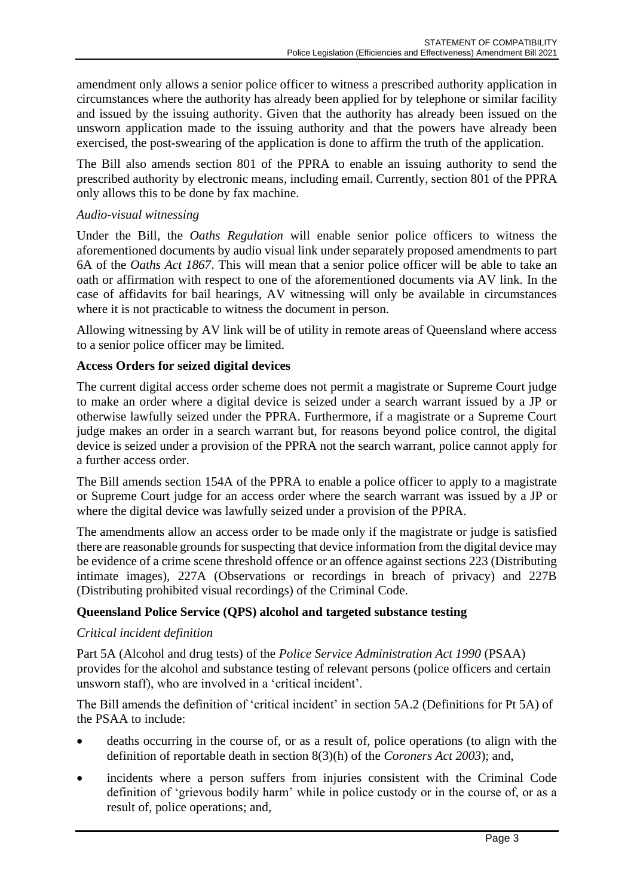amendment only allows a senior police officer to witness a prescribed authority application in circumstances where the authority has already been applied for by telephone or similar facility and issued by the issuing authority. Given that the authority has already been issued on the unsworn application made to the issuing authority and that the powers have already been exercised, the post-swearing of the application is done to affirm the truth of the application.

The Bill also amends section 801 of the PPRA to enable an issuing authority to send the prescribed authority by electronic means, including email. Currently, section 801 of the PPRA only allows this to be done by fax machine.

### *Audio-visual witnessing*

Under the Bill, the *Oaths Regulation* will enable senior police officers to witness the aforementioned documents by audio visual link under separately proposed amendments to part 6A of the *Oaths Act 1867*. This will mean that a senior police officer will be able to take an oath or affirmation with respect to one of the aforementioned documents via AV link. In the case of affidavits for bail hearings, AV witnessing will only be available in circumstances where it is not practicable to witness the document in person.

Allowing witnessing by AV link will be of utility in remote areas of Queensland where access to a senior police officer may be limited.

# **Access Orders for seized digital devices**

The current digital access order scheme does not permit a magistrate or Supreme Court judge to make an order where a digital device is seized under a search warrant issued by a JP or otherwise lawfully seized under the PPRA. Furthermore, if a magistrate or a Supreme Court judge makes an order in a search warrant but, for reasons beyond police control, the digital device is seized under a provision of the PPRA not the search warrant, police cannot apply for a further access order.

The Bill amends section 154A of the PPRA to enable a police officer to apply to a magistrate or Supreme Court judge for an access order where the search warrant was issued by a JP or where the digital device was lawfully seized under a provision of the PPRA.

The amendments allow an access order to be made only if the magistrate or judge is satisfied there are reasonable grounds for suspecting that device information from the digital device may be evidence of a crime scene threshold offence or an offence against sections 223 (Distributing intimate images), 227A (Observations or recordings in breach of privacy) and 227B (Distributing prohibited visual recordings) of the Criminal Code.

#### **Queensland Police Service (QPS) alcohol and targeted substance testing**

#### *Critical incident definition*

Part 5A (Alcohol and drug tests) of the *Police Service Administration Act 1990* (PSAA) provides for the alcohol and substance testing of relevant persons (police officers and certain unsworn staff), who are involved in a 'critical incident'.

The Bill amends the definition of 'critical incident' in section 5A.2 (Definitions for Pt 5A) of the PSAA to include:

- deaths occurring in the course of, or as a result of, police operations (to align with the definition of reportable death in section 8(3)(h) of the *Coroners Act 2003*); and,
- incidents where a person suffers from injuries consistent with the Criminal Code definition of 'grievous bodily harm' while in police custody or in the course of, or as a result of, police operations; and,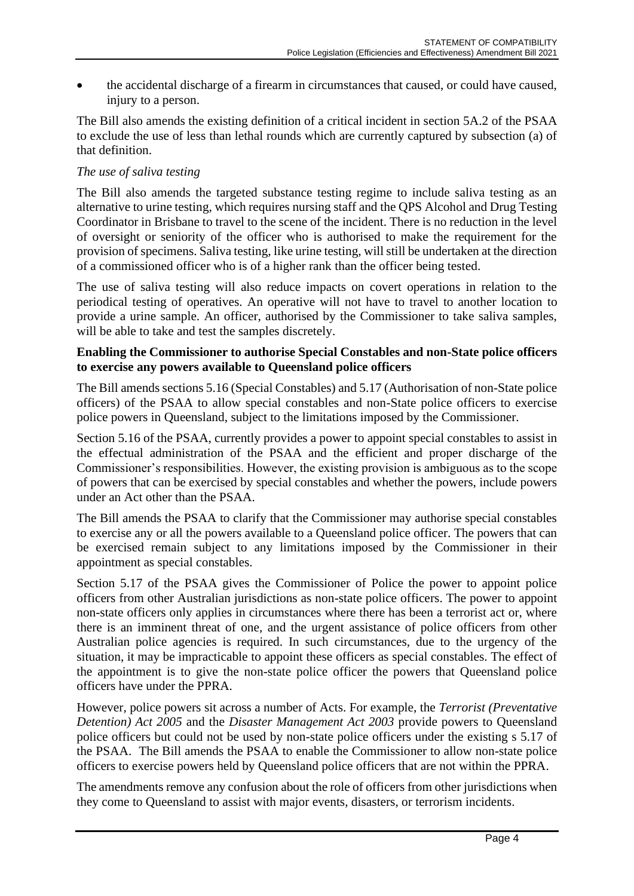• the accidental discharge of a firearm in circumstances that caused, or could have caused, injury to a person.

The Bill also amends the existing definition of a critical incident in section 5A.2 of the PSAA to exclude the use of less than lethal rounds which are currently captured by subsection (a) of that definition.

# *The use of saliva testing*

The Bill also amends the targeted substance testing regime to include saliva testing as an alternative to urine testing, which requires nursing staff and the QPS Alcohol and Drug Testing Coordinator in Brisbane to travel to the scene of the incident. There is no reduction in the level of oversight or seniority of the officer who is authorised to make the requirement for the provision of specimens. Saliva testing, like urine testing, will still be undertaken at the direction of a commissioned officer who is of a higher rank than the officer being tested.

The use of saliva testing will also reduce impacts on covert operations in relation to the periodical testing of operatives. An operative will not have to travel to another location to provide a urine sample. An officer, authorised by the Commissioner to take saliva samples, will be able to take and test the samples discretely.

#### **Enabling the Commissioner to authorise Special Constables and non-State police officers to exercise any powers available to Queensland police officers**

The Bill amends sections 5.16 (Special Constables) and 5.17 (Authorisation of non-State police officers) of the PSAA to allow special constables and non-State police officers to exercise police powers in Queensland, subject to the limitations imposed by the Commissioner.

Section 5.16 of the PSAA, currently provides a power to appoint special constables to assist in the effectual administration of the PSAA and the efficient and proper discharge of the Commissioner's responsibilities. However, the existing provision is ambiguous as to the scope of powers that can be exercised by special constables and whether the powers, include powers under an Act other than the PSAA.

The Bill amends the PSAA to clarify that the Commissioner may authorise special constables to exercise any or all the powers available to a Queensland police officer. The powers that can be exercised remain subject to any limitations imposed by the Commissioner in their appointment as special constables.

Section 5.17 of the PSAA gives the Commissioner of Police the power to appoint police officers from other Australian jurisdictions as non-state police officers. The power to appoint non-state officers only applies in circumstances where there has been a terrorist act or, where there is an imminent threat of one, and the urgent assistance of police officers from other Australian police agencies is required. In such circumstances, due to the urgency of the situation, it may be impracticable to appoint these officers as special constables. The effect of the appointment is to give the non-state police officer the powers that Queensland police officers have under the PPRA.

However, police powers sit across a number of Acts. For example, the *Terrorist (Preventative Detention) Act 2005* and the *Disaster Management Act 2003* provide powers to Queensland police officers but could not be used by non-state police officers under the existing s 5.17 of the PSAA. The Bill amends the PSAA to enable the Commissioner to allow non-state police officers to exercise powers held by Queensland police officers that are not within the PPRA.

The amendments remove any confusion about the role of officers from other jurisdictions when they come to Queensland to assist with major events, disasters, or terrorism incidents.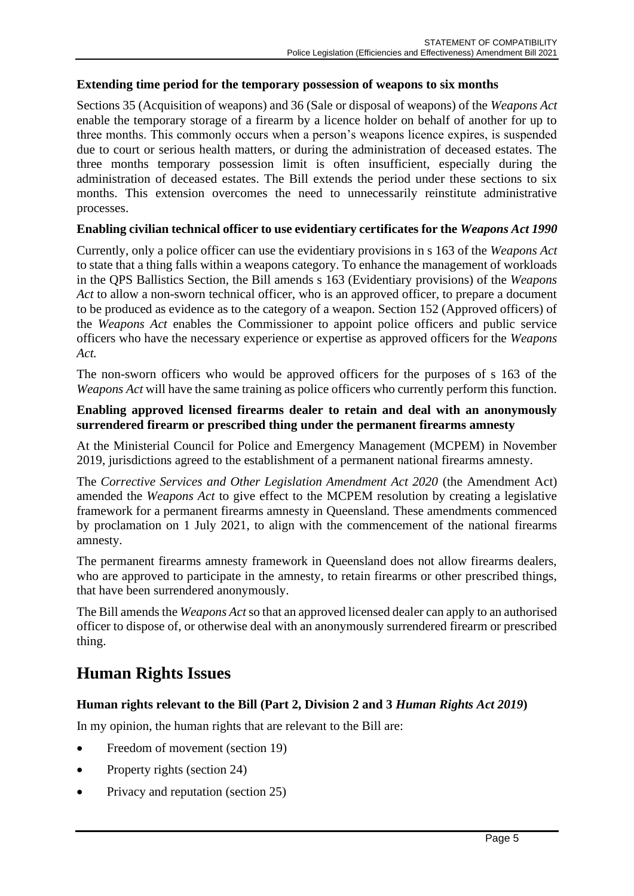#### **Extending time period for the temporary possession of weapons to six months**

Sections 35 (Acquisition of weapons) and 36 (Sale or disposal of weapons) of the *Weapons Act*  enable the temporary storage of a firearm by a licence holder on behalf of another for up to three months. This commonly occurs when a person's weapons licence expires, is suspended due to court or serious health matters, or during the administration of deceased estates. The three months temporary possession limit is often insufficient, especially during the administration of deceased estates. The Bill extends the period under these sections to six months. This extension overcomes the need to unnecessarily reinstitute administrative processes.

#### **Enabling civilian technical officer to use evidentiary certificates for the** *Weapons Act 1990*

Currently, only a police officer can use the evidentiary provisions in s 163 of the *Weapons Act* to state that a thing falls within a weapons category. To enhance the management of workloads in the QPS Ballistics Section, the Bill amends s 163 (Evidentiary provisions) of the *Weapons Act* to allow a non-sworn technical officer, who is an approved officer, to prepare a document to be produced as evidence as to the category of a weapon. Section 152 (Approved officers) of the *Weapons Act* enables the Commissioner to appoint police officers and public service officers who have the necessary experience or expertise as approved officers for the *Weapons Act.*

The non-sworn officers who would be approved officers for the purposes of s 163 of the *Weapons Act* will have the same training as police officers who currently perform this function.

#### **Enabling approved licensed firearms dealer to retain and deal with an anonymously surrendered firearm or prescribed thing under the permanent firearms amnesty**

At the Ministerial Council for Police and Emergency Management (MCPEM) in November 2019, jurisdictions agreed to the establishment of a permanent national firearms amnesty.

The *Corrective Services and Other Legislation Amendment Act 2020* (the Amendment Act) amended the *Weapons Act* to give effect to the MCPEM resolution by creating a legislative framework for a permanent firearms amnesty in Queensland. These amendments commenced by proclamation on 1 July 2021, to align with the commencement of the national firearms amnesty.

The permanent firearms amnesty framework in Queensland does not allow firearms dealers, who are approved to participate in the amnesty, to retain firearms or other prescribed things, that have been surrendered anonymously.

The Bill amendsthe *Weapons Act* so that an approved licensed dealer can apply to an authorised officer to dispose of, or otherwise deal with an anonymously surrendered firearm or prescribed thing.

# **Human Rights Issues**

#### **Human rights relevant to the Bill (Part 2, Division 2 and 3** *Human Rights Act 2019***)**

In my opinion, the human rights that are relevant to the Bill are:

- Freedom of movement (section 19)
- Property rights (section 24)
- Privacy and reputation (section 25)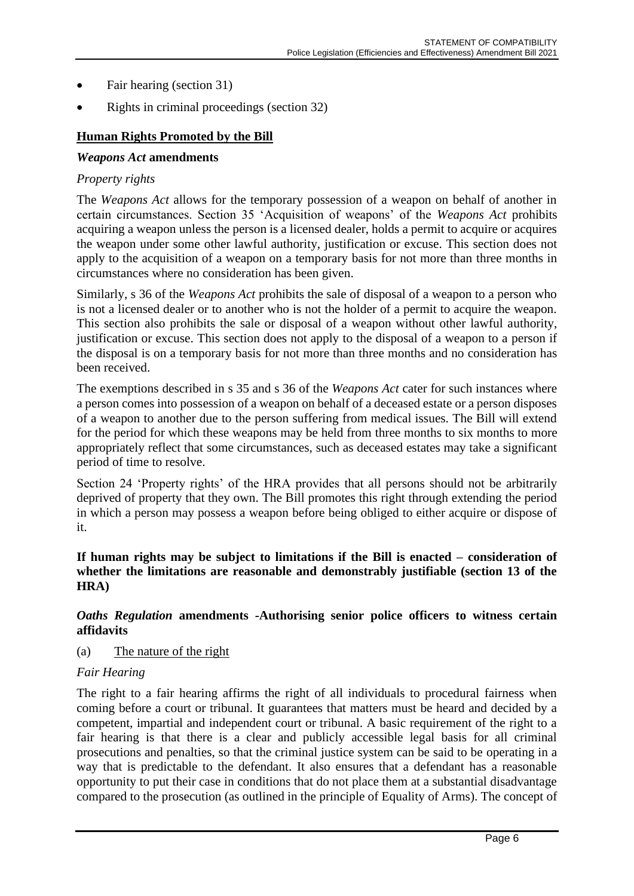- Fair hearing (section 31)
- Rights in criminal proceedings (section 32)

# **Human Rights Promoted by the Bill**

#### *Weapons Act* **amendments**

#### *Property rights*

The *Weapons Act* allows for the temporary possession of a weapon on behalf of another in certain circumstances. Section 35 'Acquisition of weapons' of the *Weapons Act* prohibits acquiring a weapon unless the person is a licensed dealer, holds a permit to acquire or acquires the weapon under some other lawful authority, justification or excuse. This section does not apply to the acquisition of a weapon on a temporary basis for not more than three months in circumstances where no consideration has been given.

Similarly, s 36 of the *Weapons Act* prohibits the sale of disposal of a weapon to a person who is not a licensed dealer or to another who is not the holder of a permit to acquire the weapon. This section also prohibits the sale or disposal of a weapon without other lawful authority, justification or excuse. This section does not apply to the disposal of a weapon to a person if the disposal is on a temporary basis for not more than three months and no consideration has been received.

The exemptions described in s 35 and s 36 of the *Weapons Act* cater for such instances where a person comes into possession of a weapon on behalf of a deceased estate or a person disposes of a weapon to another due to the person suffering from medical issues. The Bill will extend for the period for which these weapons may be held from three months to six months to more appropriately reflect that some circumstances, such as deceased estates may take a significant period of time to resolve.

Section 24 'Property rights' of the HRA provides that all persons should not be arbitrarily deprived of property that they own. The Bill promotes this right through extending the period in which a person may possess a weapon before being obliged to either acquire or dispose of it.

**If human rights may be subject to limitations if the Bill is enacted – consideration of whether the limitations are reasonable and demonstrably justifiable (section 13 of the HRA)**

#### *Oaths Regulation* **amendments -Authorising senior police officers to witness certain affidavits**

(a) The nature of the right

#### *Fair Hearing*

The right to a fair hearing affirms the right of all individuals to procedural fairness when coming before a court or tribunal. It guarantees that matters must be heard and decided by a competent, impartial and independent court or tribunal. A basic requirement of the right to a fair hearing is that there is a clear and publicly accessible legal basis for all criminal prosecutions and penalties, so that the criminal justice system can be said to be operating in a way that is predictable to the defendant. It also ensures that a defendant has a reasonable opportunity to put their case in conditions that do not place them at a substantial disadvantage compared to the prosecution (as outlined in the principle of Equality of Arms). The concept of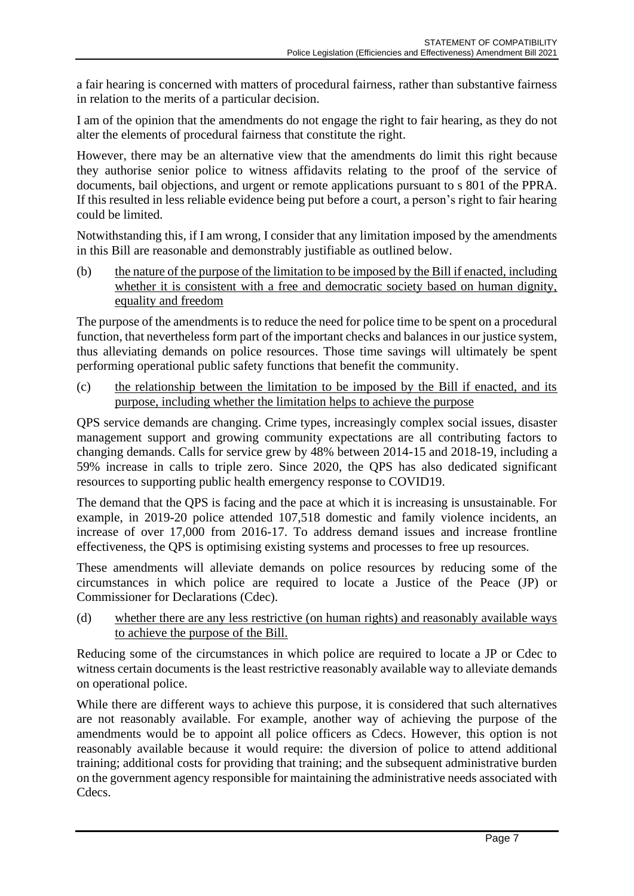a fair hearing is concerned with matters of procedural fairness, rather than substantive fairness in relation to the merits of a particular decision.

I am of the opinion that the amendments do not engage the right to fair hearing, as they do not alter the elements of procedural fairness that constitute the right.

However, there may be an alternative view that the amendments do limit this right because they authorise senior police to witness affidavits relating to the proof of the service of documents, bail objections, and urgent or remote applications pursuant to s 801 of the PPRA. If this resulted in less reliable evidence being put before a court, a person's right to fair hearing could be limited.

Notwithstanding this, if I am wrong, I consider that any limitation imposed by the amendments in this Bill are reasonable and demonstrably justifiable as outlined below.

(b) the nature of the purpose of the limitation to be imposed by the Bill if enacted, including whether it is consistent with a free and democratic society based on human dignity, equality and freedom

The purpose of the amendments is to reduce the need for police time to be spent on a procedural function, that nevertheless form part of the important checks and balances in our justice system, thus alleviating demands on police resources. Those time savings will ultimately be spent performing operational public safety functions that benefit the community.

(c) the relationship between the limitation to be imposed by the Bill if enacted, and its purpose, including whether the limitation helps to achieve the purpose

QPS service demands are changing. Crime types, increasingly complex social issues, disaster management support and growing community expectations are all contributing factors to changing demands. Calls for service grew by 48% between 2014-15 and 2018-19, including a 59% increase in calls to triple zero. Since 2020, the QPS has also dedicated significant resources to supporting public health emergency response to COVID19.

The demand that the QPS is facing and the pace at which it is increasing is unsustainable. For example, in 2019-20 police attended 107,518 domestic and family violence incidents, an increase of over 17,000 from 2016-17. To address demand issues and increase frontline effectiveness, the QPS is optimising existing systems and processes to free up resources.

These amendments will alleviate demands on police resources by reducing some of the circumstances in which police are required to locate a Justice of the Peace (JP) or Commissioner for Declarations (Cdec).

(d) whether there are any less restrictive (on human rights) and reasonably available ways to achieve the purpose of the Bill.

Reducing some of the circumstances in which police are required to locate a JP or Cdec to witness certain documents is the least restrictive reasonably available way to alleviate demands on operational police.

While there are different ways to achieve this purpose, it is considered that such alternatives are not reasonably available. For example, another way of achieving the purpose of the amendments would be to appoint all police officers as Cdecs. However, this option is not reasonably available because it would require: the diversion of police to attend additional training; additional costs for providing that training; and the subsequent administrative burden on the government agency responsible for maintaining the administrative needs associated with Cdecs.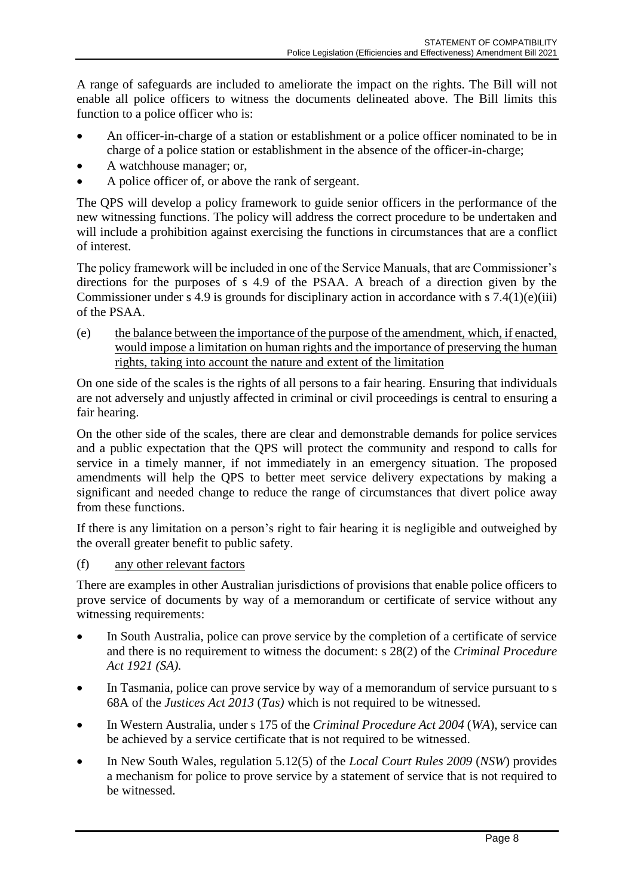A range of safeguards are included to ameliorate the impact on the rights. The Bill will not enable all police officers to witness the documents delineated above. The Bill limits this function to a police officer who is:

- An officer-in-charge of a station or establishment or a police officer nominated to be in charge of a police station or establishment in the absence of the officer-in-charge;
- A watchhouse manager; or,
- A police officer of, or above the rank of sergeant.

The QPS will develop a policy framework to guide senior officers in the performance of the new witnessing functions. The policy will address the correct procedure to be undertaken and will include a prohibition against exercising the functions in circumstances that are a conflict of interest.

The policy framework will be included in one of the Service Manuals, that are Commissioner's directions for the purposes of s 4.9 of the PSAA. A breach of a direction given by the Commissioner under s 4.9 is grounds for disciplinary action in accordance with s  $7.4(1)(e)(iii)$ of the PSAA.

(e) the balance between the importance of the purpose of the amendment, which, if enacted, would impose a limitation on human rights and the importance of preserving the human rights, taking into account the nature and extent of the limitation

On one side of the scales is the rights of all persons to a fair hearing. Ensuring that individuals are not adversely and unjustly affected in criminal or civil proceedings is central to ensuring a fair hearing.

On the other side of the scales, there are clear and demonstrable demands for police services and a public expectation that the QPS will protect the community and respond to calls for service in a timely manner, if not immediately in an emergency situation. The proposed amendments will help the QPS to better meet service delivery expectations by making a significant and needed change to reduce the range of circumstances that divert police away from these functions.

If there is any limitation on a person's right to fair hearing it is negligible and outweighed by the overall greater benefit to public safety.

(f) any other relevant factors

There are examples in other Australian jurisdictions of provisions that enable police officers to prove service of documents by way of a memorandum or certificate of service without any witnessing requirements:

- In South Australia, police can prove service by the completion of a certificate of service and there is no requirement to witness the document: s 28(2) of the *Criminal Procedure Act 1921 (SA).*
- In Tasmania, police can prove service by way of a memorandum of service pursuant to s 68A of the *Justices Act 2013* (*Tas)* which is not required to be witnessed.
- In Western Australia, under s 175 of the *Criminal Procedure Act 2004* (*WA*), service can be achieved by a service certificate that is not required to be witnessed.
- In New South Wales, regulation 5.12(5) of the *Local Court Rules 2009* (*NSW*) provides a mechanism for police to prove service by a statement of service that is not required to be witnessed.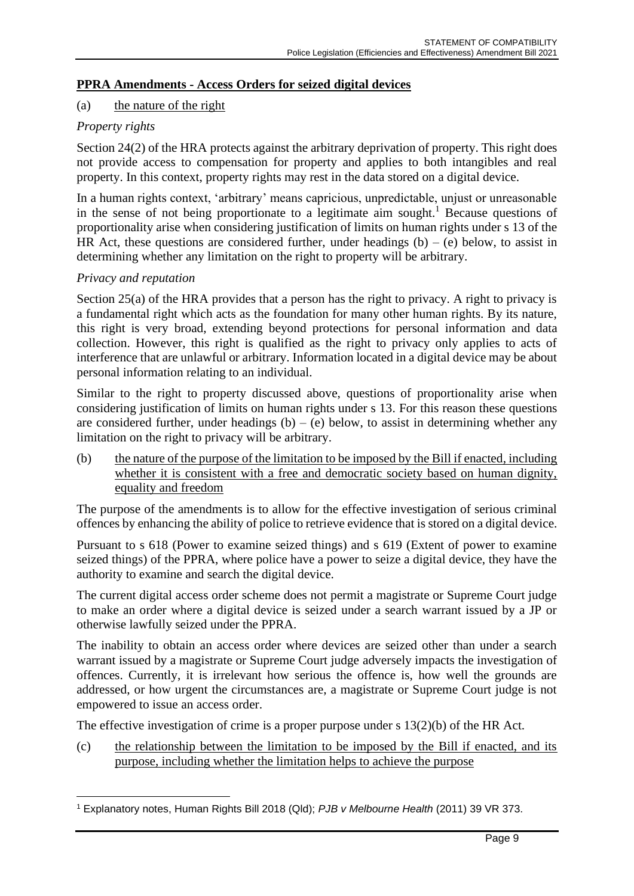# **PPRA Amendments - Access Orders for seized digital devices**

### (a) the nature of the right

#### *Property rights*

Section 24(2) of the HRA protects against the arbitrary deprivation of property. This right does not provide access to compensation for property and applies to both intangibles and real property. In this context, property rights may rest in the data stored on a digital device.

In a human rights context, 'arbitrary' means capricious, unpredictable, unjust or unreasonable in the sense of not being proportionate to a legitimate aim sought.<sup>1</sup> Because questions of proportionality arise when considering justification of limits on human rights under s 13 of the HR Act, these questions are considered further, under headings  $(b) - (e)$  below, to assist in determining whether any limitation on the right to property will be arbitrary.

#### *Privacy and reputation*

Section 25(a) of the HRA provides that a person has the right to privacy. A right to privacy is a fundamental right which acts as the foundation for many other human rights. By its nature, this right is very broad, extending beyond protections for personal information and data collection. However, this right is qualified as the right to privacy only applies to acts of interference that are unlawful or arbitrary. Information located in a digital device may be about personal information relating to an individual.

Similar to the right to property discussed above, questions of proportionality arise when considering justification of limits on human rights under s 13. For this reason these questions are considered further, under headings  $(b) - (e)$  below, to assist in determining whether any limitation on the right to privacy will be arbitrary.

(b) the nature of the purpose of the limitation to be imposed by the Bill if enacted, including whether it is consistent with a free and democratic society based on human dignity, equality and freedom

The purpose of the amendments is to allow for the effective investigation of serious criminal offences by enhancing the ability of police to retrieve evidence that is stored on a digital device.

Pursuant to s 618 (Power to examine seized things) and s 619 (Extent of power to examine seized things) of the PPRA, where police have a power to seize a digital device, they have the authority to examine and search the digital device.

The current digital access order scheme does not permit a magistrate or Supreme Court judge to make an order where a digital device is seized under a search warrant issued by a JP or otherwise lawfully seized under the PPRA.

The inability to obtain an access order where devices are seized other than under a search warrant issued by a magistrate or Supreme Court judge adversely impacts the investigation of offences. Currently, it is irrelevant how serious the offence is, how well the grounds are addressed, or how urgent the circumstances are, a magistrate or Supreme Court judge is not empowered to issue an access order.

The effective investigation of crime is a proper purpose under s 13(2)(b) of the HR Act.

(c) the relationship between the limitation to be imposed by the Bill if enacted, and its purpose, including whether the limitation helps to achieve the purpose

<sup>1</sup> Explanatory notes, Human Rights Bill 2018 (Qld); *PJB v Melbourne Health* (2011) 39 VR 373.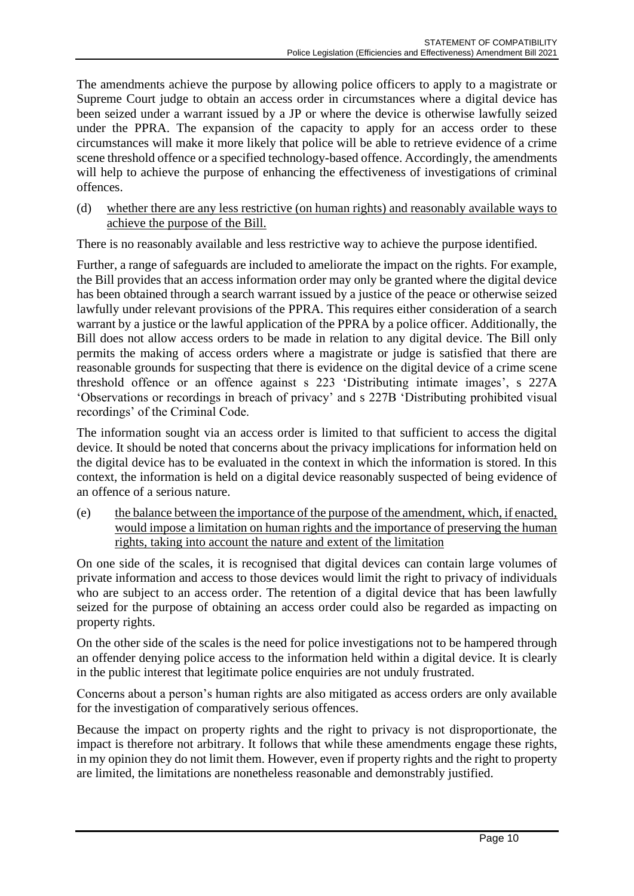The amendments achieve the purpose by allowing police officers to apply to a magistrate or Supreme Court judge to obtain an access order in circumstances where a digital device has been seized under a warrant issued by a JP or where the device is otherwise lawfully seized under the PPRA. The expansion of the capacity to apply for an access order to these circumstances will make it more likely that police will be able to retrieve evidence of a crime scene threshold offence or a specified technology-based offence. Accordingly, the amendments will help to achieve the purpose of enhancing the effectiveness of investigations of criminal offences.

(d) whether there are any less restrictive (on human rights) and reasonably available ways to achieve the purpose of the Bill.

There is no reasonably available and less restrictive way to achieve the purpose identified.

Further, a range of safeguards are included to ameliorate the impact on the rights. For example, the Bill provides that an access information order may only be granted where the digital device has been obtained through a search warrant issued by a justice of the peace or otherwise seized lawfully under relevant provisions of the PPRA. This requires either consideration of a search warrant by a justice or the lawful application of the PPRA by a police officer. Additionally, the Bill does not allow access orders to be made in relation to any digital device. The Bill only permits the making of access orders where a magistrate or judge is satisfied that there are reasonable grounds for suspecting that there is evidence on the digital device of a crime scene threshold offence or an offence against s 223 'Distributing intimate images', s 227A 'Observations or recordings in breach of privacy' and s 227B 'Distributing prohibited visual recordings' of the Criminal Code.

The information sought via an access order is limited to that sufficient to access the digital device. It should be noted that concerns about the privacy implications for information held on the digital device has to be evaluated in the context in which the information is stored. In this context, the information is held on a digital device reasonably suspected of being evidence of an offence of a serious nature.

(e) the balance between the importance of the purpose of the amendment, which, if enacted, would impose a limitation on human rights and the importance of preserving the human rights, taking into account the nature and extent of the limitation

On one side of the scales, it is recognised that digital devices can contain large volumes of private information and access to those devices would limit the right to privacy of individuals who are subject to an access order. The retention of a digital device that has been lawfully seized for the purpose of obtaining an access order could also be regarded as impacting on property rights.

On the other side of the scales is the need for police investigations not to be hampered through an offender denying police access to the information held within a digital device. It is clearly in the public interest that legitimate police enquiries are not unduly frustrated.

Concerns about a person's human rights are also mitigated as access orders are only available for the investigation of comparatively serious offences.

Because the impact on property rights and the right to privacy is not disproportionate, the impact is therefore not arbitrary. It follows that while these amendments engage these rights, in my opinion they do not limit them. However, even if property rights and the right to property are limited, the limitations are nonetheless reasonable and demonstrably justified.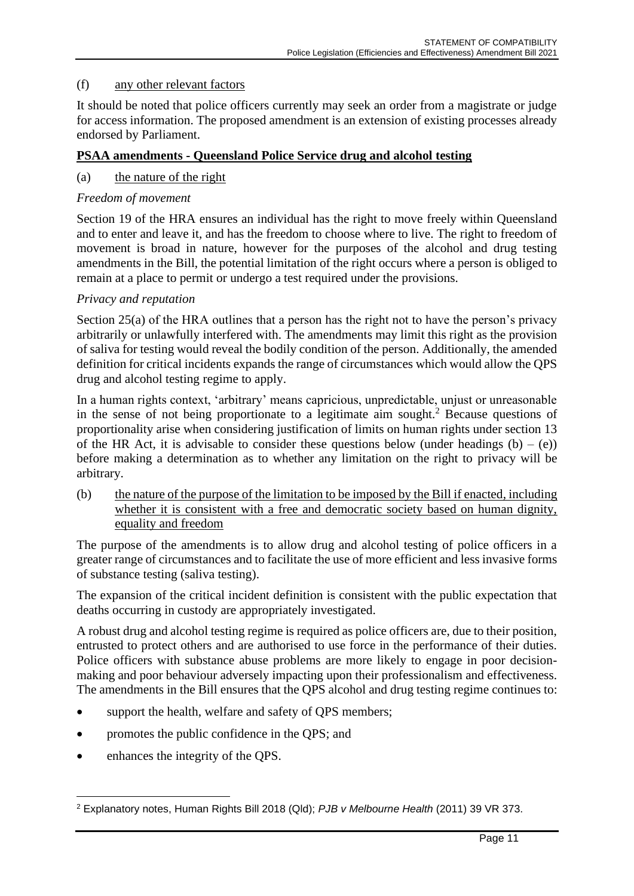### (f) any other relevant factors

It should be noted that police officers currently may seek an order from a magistrate or judge for access information. The proposed amendment is an extension of existing processes already endorsed by Parliament.

#### **PSAA amendments - Queensland Police Service drug and alcohol testing**

#### (a) the nature of the right

#### *Freedom of movement*

Section 19 of the HRA ensures an individual has the right to move freely within Queensland and to enter and leave it, and has the freedom to choose where to live. The right to freedom of movement is broad in nature, however for the purposes of the alcohol and drug testing amendments in the Bill, the potential limitation of the right occurs where a person is obliged to remain at a place to permit or undergo a test required under the provisions.

#### *Privacy and reputation*

Section 25(a) of the HRA outlines that a person has the right not to have the person's privacy arbitrarily or unlawfully interfered with. The amendments may limit this right as the provision of saliva for testing would reveal the bodily condition of the person. Additionally, the amended definition for critical incidents expands the range of circumstances which would allow the QPS drug and alcohol testing regime to apply.

In a human rights context, 'arbitrary' means capricious, unpredictable, unjust or unreasonable in the sense of not being proportionate to a legitimate aim sought.<sup>2</sup> Because questions of proportionality arise when considering justification of limits on human rights under section 13 of the HR Act, it is advisable to consider these questions below (under headings  $(b) - (e)$ ) before making a determination as to whether any limitation on the right to privacy will be arbitrary.

(b) the nature of the purpose of the limitation to be imposed by the Bill if enacted, including whether it is consistent with a free and democratic society based on human dignity, equality and freedom

The purpose of the amendments is to allow drug and alcohol testing of police officers in a greater range of circumstances and to facilitate the use of more efficient and less invasive forms of substance testing (saliva testing).

The expansion of the critical incident definition is consistent with the public expectation that deaths occurring in custody are appropriately investigated.

A robust drug and alcohol testing regime is required as police officers are, due to their position, entrusted to protect others and are authorised to use force in the performance of their duties. Police officers with substance abuse problems are more likely to engage in poor decisionmaking and poor behaviour adversely impacting upon their professionalism and effectiveness. The amendments in the Bill ensures that the QPS alcohol and drug testing regime continues to:

- support the health, welfare and safety of QPS members;
- promotes the public confidence in the QPS; and
- enhances the integrity of the QPS.

<sup>2</sup> Explanatory notes, Human Rights Bill 2018 (Qld); *PJB v Melbourne Health* (2011) 39 VR 373.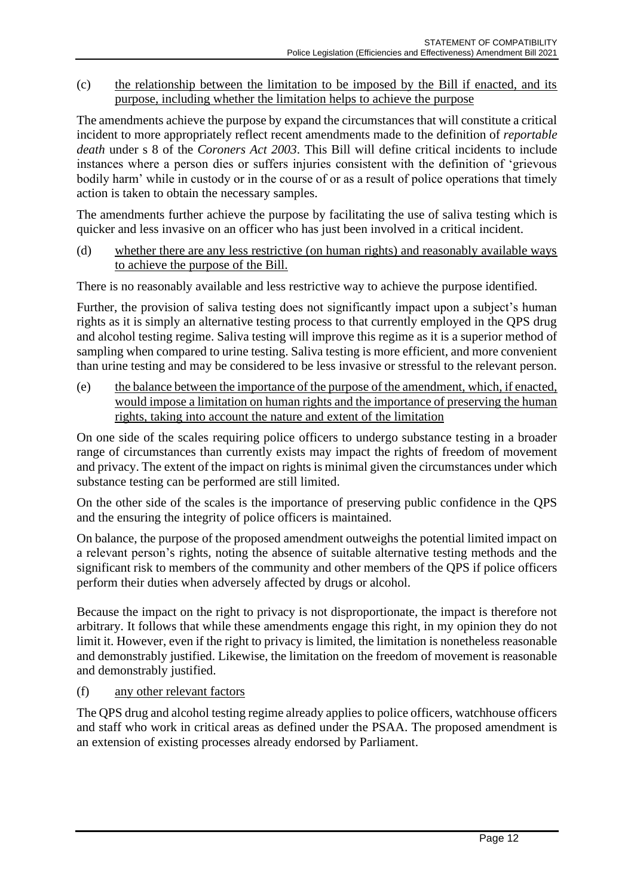(c) the relationship between the limitation to be imposed by the Bill if enacted, and its purpose, including whether the limitation helps to achieve the purpose

The amendments achieve the purpose by expand the circumstances that will constitute a critical incident to more appropriately reflect recent amendments made to the definition of *reportable death* under s 8 of the *Coroners Act 2003*. This Bill will define critical incidents to include instances where a person dies or suffers injuries consistent with the definition of 'grievous bodily harm' while in custody or in the course of or as a result of police operations that timely action is taken to obtain the necessary samples.

The amendments further achieve the purpose by facilitating the use of saliva testing which is quicker and less invasive on an officer who has just been involved in a critical incident.

(d) whether there are any less restrictive (on human rights) and reasonably available ways to achieve the purpose of the Bill.

There is no reasonably available and less restrictive way to achieve the purpose identified.

Further, the provision of saliva testing does not significantly impact upon a subject's human rights as it is simply an alternative testing process to that currently employed in the QPS drug and alcohol testing regime. Saliva testing will improve this regime as it is a superior method of sampling when compared to urine testing. Saliva testing is more efficient, and more convenient than urine testing and may be considered to be less invasive or stressful to the relevant person.

(e) the balance between the importance of the purpose of the amendment, which, if enacted, would impose a limitation on human rights and the importance of preserving the human rights, taking into account the nature and extent of the limitation

On one side of the scales requiring police officers to undergo substance testing in a broader range of circumstances than currently exists may impact the rights of freedom of movement and privacy. The extent of the impact on rights is minimal given the circumstances under which substance testing can be performed are still limited.

On the other side of the scales is the importance of preserving public confidence in the QPS and the ensuring the integrity of police officers is maintained.

On balance, the purpose of the proposed amendment outweighs the potential limited impact on a relevant person's rights, noting the absence of suitable alternative testing methods and the significant risk to members of the community and other members of the QPS if police officers perform their duties when adversely affected by drugs or alcohol.

Because the impact on the right to privacy is not disproportionate, the impact is therefore not arbitrary. It follows that while these amendments engage this right, in my opinion they do not limit it. However, even if the right to privacy is limited, the limitation is nonetheless reasonable and demonstrably justified. Likewise, the limitation on the freedom of movement is reasonable and demonstrably justified.

#### (f) any other relevant factors

The QPS drug and alcohol testing regime already applies to police officers, watchhouse officers and staff who work in critical areas as defined under the PSAA. The proposed amendment is an extension of existing processes already endorsed by Parliament.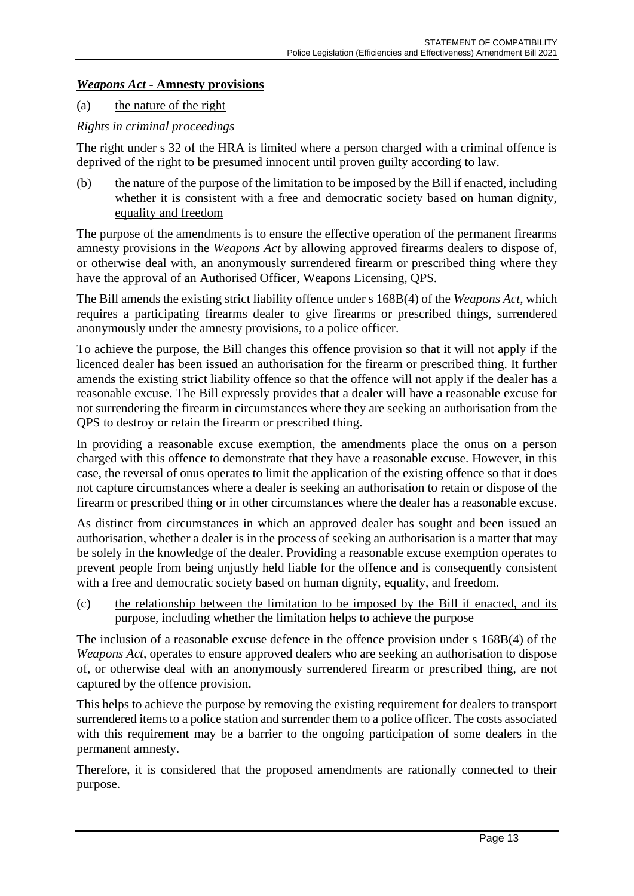# *Weapons Act* **- Amnesty provisions**

### (a) the nature of the right

# *Rights in criminal proceedings*

The right under s 32 of the HRA is limited where a person charged with a criminal offence is deprived of the right to be presumed innocent until proven guilty according to law.

(b) the nature of the purpose of the limitation to be imposed by the Bill if enacted, including whether it is consistent with a free and democratic society based on human dignity, equality and freedom

The purpose of the amendments is to ensure the effective operation of the permanent firearms amnesty provisions in the *Weapons Act* by allowing approved firearms dealers to dispose of, or otherwise deal with, an anonymously surrendered firearm or prescribed thing where they have the approval of an Authorised Officer, Weapons Licensing, QPS*.*

The Bill amends the existing strict liability offence under s 168B(4) of the *Weapons Act*, which requires a participating firearms dealer to give firearms or prescribed things, surrendered anonymously under the amnesty provisions, to a police officer.

To achieve the purpose, the Bill changes this offence provision so that it will not apply if the licenced dealer has been issued an authorisation for the firearm or prescribed thing. It further amends the existing strict liability offence so that the offence will not apply if the dealer has a reasonable excuse. The Bill expressly provides that a dealer will have a reasonable excuse for not surrendering the firearm in circumstances where they are seeking an authorisation from the QPS to destroy or retain the firearm or prescribed thing.

In providing a reasonable excuse exemption, the amendments place the onus on a person charged with this offence to demonstrate that they have a reasonable excuse. However, in this case, the reversal of onus operates to limit the application of the existing offence so that it does not capture circumstances where a dealer is seeking an authorisation to retain or dispose of the firearm or prescribed thing or in other circumstances where the dealer has a reasonable excuse.

As distinct from circumstances in which an approved dealer has sought and been issued an authorisation, whether a dealer is in the process of seeking an authorisation is a matter that may be solely in the knowledge of the dealer. Providing a reasonable excuse exemption operates to prevent people from being unjustly held liable for the offence and is consequently consistent with a free and democratic society based on human dignity, equality, and freedom.

(c) the relationship between the limitation to be imposed by the Bill if enacted, and its purpose, including whether the limitation helps to achieve the purpose

The inclusion of a reasonable excuse defence in the offence provision under s 168B(4) of the *Weapons Act,* operates to ensure approved dealers who are seeking an authorisation to dispose of, or otherwise deal with an anonymously surrendered firearm or prescribed thing, are not captured by the offence provision.

This helps to achieve the purpose by removing the existing requirement for dealers to transport surrendered items to a police station and surrender them to a police officer. The costs associated with this requirement may be a barrier to the ongoing participation of some dealers in the permanent amnesty.

Therefore, it is considered that the proposed amendments are rationally connected to their purpose.